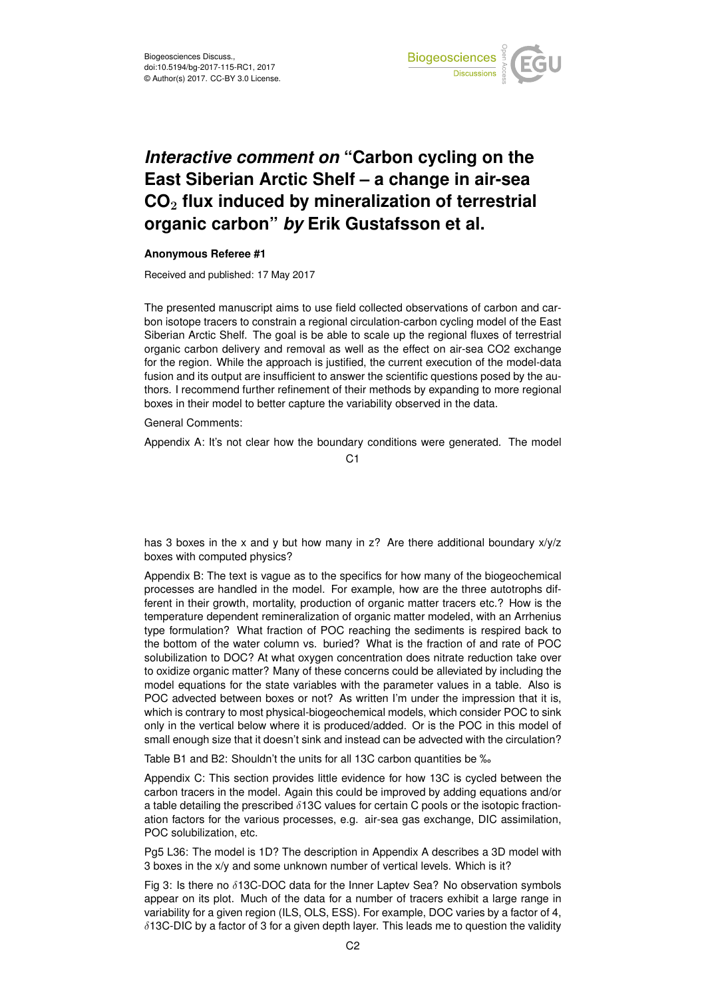

## *Interactive comment on* **"Carbon cycling on the East Siberian Arctic Shelf – a change in air-sea CO**<sup>2</sup> **flux induced by mineralization of terrestrial organic carbon"** *by* **Erik Gustafsson et al.**

## **Anonymous Referee #1**

Received and published: 17 May 2017

The presented manuscript aims to use field collected observations of carbon and carbon isotope tracers to constrain a regional circulation-carbon cycling model of the East Siberian Arctic Shelf. The goal is be able to scale up the regional fluxes of terrestrial organic carbon delivery and removal as well as the effect on air-sea CO2 exchange for the region. While the approach is justified, the current execution of the model-data fusion and its output are insufficient to answer the scientific questions posed by the authors. I recommend further refinement of their methods by expanding to more regional boxes in their model to better capture the variability observed in the data.

General Comments:

Appendix A: It's not clear how the boundary conditions were generated. The model

 $C<sub>1</sub>$ 

has 3 boxes in the x and y but how many in z? Are there additional boundary x/y/z boxes with computed physics?

Appendix B: The text is vague as to the specifics for how many of the biogeochemical processes are handled in the model. For example, how are the three autotrophs different in their growth, mortality, production of organic matter tracers etc.? How is the temperature dependent remineralization of organic matter modeled, with an Arrhenius type formulation? What fraction of POC reaching the sediments is respired back to the bottom of the water column vs. buried? What is the fraction of and rate of POC solubilization to DOC? At what oxygen concentration does nitrate reduction take over to oxidize organic matter? Many of these concerns could be alleviated by including the model equations for the state variables with the parameter values in a table. Also is POC advected between boxes or not? As written I'm under the impression that it is, which is contrary to most physical-biogeochemical models, which consider POC to sink only in the vertical below where it is produced/added. Or is the POC in this model of small enough size that it doesn't sink and instead can be advected with the circulation?

Table B1 and B2: Shouldn't the units for all 13C carbon quantities be ‰

Appendix C: This section provides little evidence for how 13C is cycled between the carbon tracers in the model. Again this could be improved by adding equations and/or a table detailing the prescribed  $\delta$ 13C values for certain C pools or the isotopic fractionation factors for the various processes, e.g. air-sea gas exchange, DIC assimilation, POC solubilization, etc.

Pg5 L36: The model is 1D? The description in Appendix A describes a 3D model with 3 boxes in the x/y and some unknown number of vertical levels. Which is it?

Fig 3: Is there no  $\delta$ 13C-DOC data for the Inner Laptev Sea? No observation symbols appear on its plot. Much of the data for a number of tracers exhibit a large range in variability for a given region (ILS, OLS, ESS). For example, DOC varies by a factor of 4,  $\delta$ 13C-DIC by a factor of 3 for a given depth layer. This leads me to question the validity